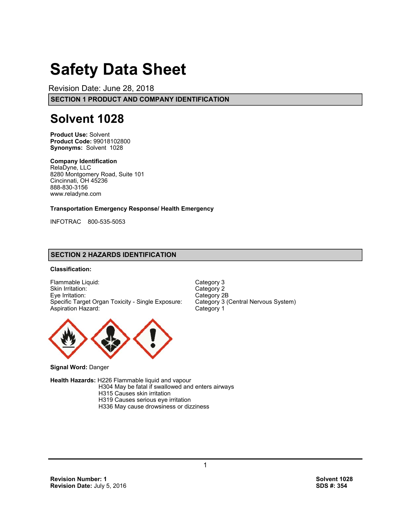# **Safety Data Sheet**

Revision Date: June 28, 2018

**SECTION 1 PRODUCT AND COMPANY IDENTIFICATION**

# **Solvent 1028**

**Product Use:** Solvent **Product Code:** 99018102800 **Synonyms:** Solvent 1028

### **Company Identification**

RelaDyne, LLC 8280 Montgomery Road, Suite 101 Cincinnati, OH 45236 888-830-3156 www.reladyne.com

# **Transportation Emergency Response/ Health Emergency**

INFOTRAC 800-535-5053

# **SECTION 2 HAZARDS IDENTIFICATION**

# **Classification:**

Flammable Liquid: Category 3<br>
Skin Irritation: Category 2 Skin Irritation: Eye Irritation: Category 2B Specific Target Organ Toxicity - Single Exposure: Aspiration Hazard: Category 1



**Signal Word:** Danger

**Health Hazards:** H226 Flammable liquid and vapour

H304 May be fatal if swallowed and enters airways H315 Causes skin irritation H319 Causes serious eye irritation H336 May cause drowsiness or dizziness

**Revision Number: 1**<br>**Revision Date:** July 5, 2016 **Revision Date: July 5, 2016**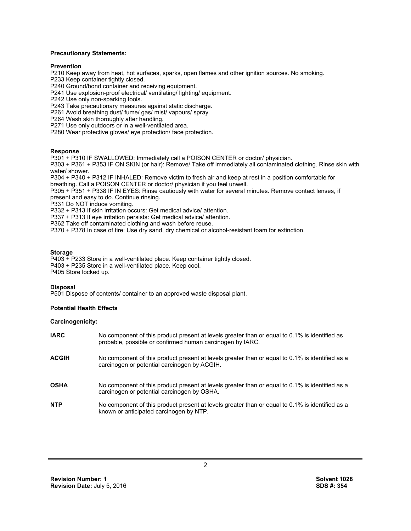#### **Precautionary Statements:**

#### **Prevention**

P210 Keep away from heat, hot surfaces, sparks, open flames and other ignition sources. No smoking.

P233 Keep container tightly closed.

P240 Ground/bond container and receiving equipment.

P241 Use explosion-proof electrical/ ventilating/ lighting/ equipment.

P242 Use only non-sparking tools.

P243 Take precautionary measures against static discharge.

P261 Avoid breathing dust/ fume/ gas/ mist/ vapours/ spray.

P264 Wash skin thoroughly after handling.

P271 Use only outdoors or in a well-ventilated area.

P280 Wear protective gloves/ eye protection/ face protection.

#### **Response**

P301 + P310 IF SWALLOWED: Immediately call a POISON CENTER or doctor/ physician.

P303 + P361 + P353 IF ON SKIN (or hair): Remove/ Take off immediately all contaminated clothing. Rinse skin with water/ shower.

P304 + P340 + P312 IF INHALED: Remove victim to fresh air and keep at rest in a position comfortable for breathing. Call a POISON CENTER or doctor/ physician if you feel unwell.

P305 + P351 + P338 IF IN EYES: Rinse cautiously with water for several minutes. Remove contact lenses, if present and easy to do. Continue rinsing.

P331 Do NOT induce vomiting.

P332 + P313 If skin irritation occurs: Get medical advice/ attention.

P337 + P313 If eye irritation persists: Get medical advice/ attention.

P362 Take off contaminated clothing and wash before reuse.

P370 + P378 In case of fire: Use dry sand, dry chemical or alcohol-resistant foam for extinction.

#### **Storage**

P403 + P233 Store in a well-ventilated place. Keep container tightly closed. P403 + P235 Store in a well-ventilated place. Keep cool. P405 Store locked up.

#### **Disposal**

P501 Dispose of contents/ container to an approved waste disposal plant.

#### **Potential Health Effects**

#### **Carcinogenicity:**

| <b>IARC</b>  | No component of this product present at levels greater than or equal to 0.1% is identified as<br>probable, possible or confirmed human carcinogen by IARC. |
|--------------|------------------------------------------------------------------------------------------------------------------------------------------------------------|
| <b>ACGIH</b> | No component of this product present at levels greater than or equal to 0.1% is identified as a<br>carcinogen or potential carcinogen by ACGIH.            |
| <b>OSHA</b>  | No component of this product present at levels greater than or equal to 0.1% is identified as a<br>carcinogen or potential carcinogen by OSHA.             |
| <b>NTP</b>   | No component of this product present at levels greater than or equal to 0.1% is identified as a<br>known or anticipated carcinogen by NTP.                 |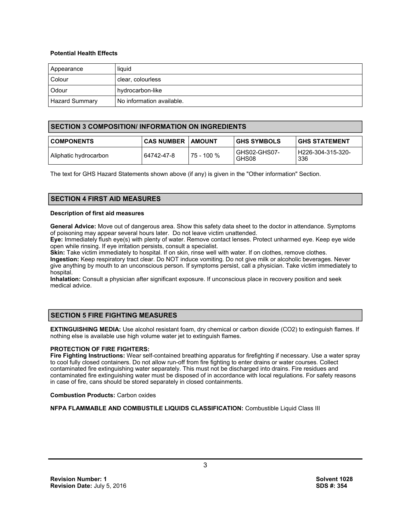#### **Potential Health Effects**

| Appearance            | liquid                    |
|-----------------------|---------------------------|
| Colour                | clear, colourless         |
| Odour                 | hydrocarbon-like          |
| <b>Hazard Summary</b> | No information available. |

# **SECTION 3 COMPOSITION/ INFORMATION ON INGREDIENTS**

| <b>COMPONENTS</b>     | <b>CAS NUMBER   AMOUNT</b> |            | <b>GHS SYMBOLS</b>    | <b>GHS STATEMENT</b>       |
|-----------------------|----------------------------|------------|-----------------------|----------------------------|
| Aliphatic hydrocarbon | 64742-47-8                 | 75 - 100 % | GHS02-GHS07-<br>GHS08 | l H226-304-315-320-<br>336 |

The text for GHS Hazard Statements shown above (if any) is given in the "Other information" Section.

# **SECTION 4 FIRST AID MEASURES**

#### **Description of first aid measures**

**General Advice:** Move out of dangerous area. Show this safety data sheet to the doctor in attendance. Symptoms of poisoning may appear several hours later. Do not leave victim unattended.

**Eye:** Immediately flush eye(s) with plenty of water. Remove contact lenses. Protect unharmed eye. Keep eye wide open while rinsing. If eye irritation persists, consult a specialist.

**Skin:** Take victim immediately to hospital. If on skin, rinse well with water. If on clothes, remove clothes. **Ingestion:** Keep respiratory tract clear. Do NOT induce vomiting. Do not give milk or alcoholic beverages. Never give anything by mouth to an unconscious person. If symptoms persist, call a physician. Take victim immediately to hospital.

**Inhalation:** Consult a physician after significant exposure. If unconscious place in recovery position and seek medical advice.

# **SECTION 5 FIRE FIGHTING MEASURES**

**EXTINGUISHING MEDIA:** Use alcohol resistant foam, dry chemical or carbon dioxide (CO2) to extinguish flames. If nothing else is available use high volume water jet to extinguish flames.

#### **PROTECTION OF FIRE FIGHTERS:**

**Fire Fighting Instructions:** Wear self-contained breathing apparatus for firefighting if necessary. Use a water spray to cool fully closed containers. Do not allow run-off from fire fighting to enter drains or water courses. Collect contaminated fire extinguishing water separately. This must not be discharged into drains. Fire residues and contaminated fire extinguishing water must be disposed of in accordance with local regulations. For safety reasons in case of fire, cans should be stored separately in closed containments.

**Combustion Products:** Carbon oxides

**NFPA FLAMMABLE AND COMBUSTILE LIQUIDS CLASSIFICATION:** Combustible Liquid Class III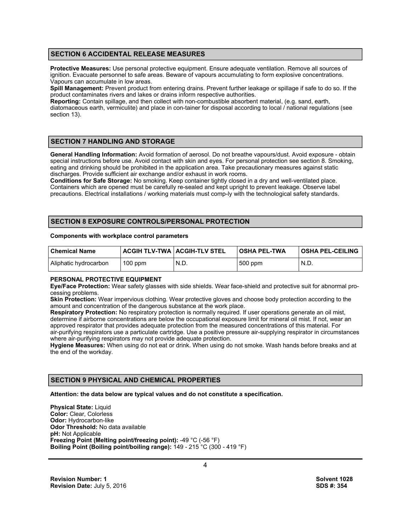# **SECTION 6 ACCIDENTAL RELEASE MEASURES**

**Protective Measures:** Use personal protective equipment. Ensure adequate ventilation. Remove all sources of ignition. Evacuate personnel to safe areas. Beware of vapours accumulating to form explosive concentrations. Vapours can accumulate in low areas.

**Spill Management:** Prevent product from entering drains. Prevent further leakage or spillage if safe to do so. If the product contaminates rivers and lakes or drains inform respective authorities.

**Reporting:** Contain spillage, and then collect with non-combustible absorbent material, (e.g. sand, earth, diatomaceous earth, vermiculite) and place in con-tainer for disposal according to local / national regulations (see section 13).

# **SECTION 7 HANDLING AND STORAGE**

**General Handling Information:** Avoid formation of aerosol. Do not breathe vapours/dust. Avoid exposure - obtain special instructions before use. Avoid contact with skin and eyes. For personal protection see section 8. Smoking, eating and drinking should be prohibited in the application area. Take precautionary measures against static discharges. Provide sufficient air exchange and/or exhaust in work rooms.

**Conditions for Safe Storage:** No smoking. Keep container tightly closed in a dry and well-ventilated place. Containers which are opened must be carefully re-sealed and kept upright to prevent leakage. Observe label precautions. Electrical installations / working materials must comp-ly with the technological safety standards.

# **SECTION 8 EXPOSURE CONTROLS/PERSONAL PROTECTION**

#### **Components with workplace control parameters**

| l Chemical Name       | <b>ACGIH TLV-TWA   ACGIH-TLV STEL</b> |      | OSHA PEL-TWA | <b>OSHA PEL-CEILING</b> |
|-----------------------|---------------------------------------|------|--------------|-------------------------|
| Aliphatic hydrocarbon | $100$ ppm                             | N.D. | 500 ppm      | N.D.                    |

#### **PERSONAL PROTECTIVE EQUIPMENT**

**Eye/Face Protection:** Wear safety glasses with side shields. Wear face-shield and protective suit for abnormal processing problems.

**Skin Protection:** Wear impervious clothing. Wear protective gloves and choose body protection according to the amount and concentration of the dangerous substance at the work place.

**Respiratory Protection:** No respiratory protection is normally required. If user operations generate an oil mist, determine if airborne concentrations are below the occupational exposure limit for mineral oil mist. If not, wear an approved respirator that provides adequate protection from the measured concentrations of this material. For air-purifying respirators use a particulate cartridge. Use a positive pressure air-supplying respirator in circumstances where air-purifying respirators may not provide adequate protection.

**Hygiene Measures:** When using do not eat or drink. When using do not smoke. Wash hands before breaks and at the end of the workday.

# **SECTION 9 PHYSICAL AND CHEMICAL PROPERTIES**

**Attention: the data below are typical values and do not constitute a specification.** 

**Physical State: Liquid Color:** Clear, Colorless **Odor:** Hydrocarbon-like **Odor Threshold:** No data available **pH:** Not Applicable **Freezing Point (Melting point/freezing point):** -49 °C (-56 °F) **Boiling Point (Boiling point/boiling range):** 149 - 215 °C (300 - 419 °F)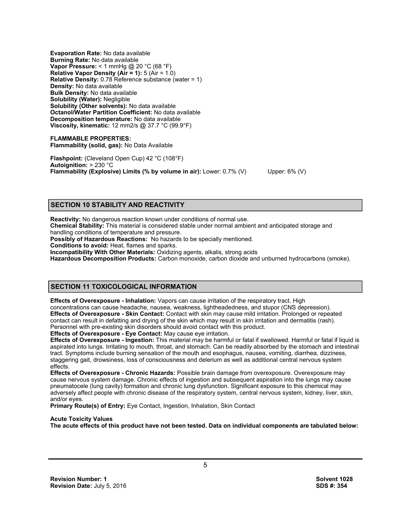**Evaporation Rate:** No data available **Burning Rate:** No data available **Vapor Pressure:** < 1 mmHg @ 20 °C (68 °F) **Relative Vapor Density (Air = 1):** 5 (Air = 1.0) **Relative Density:** 0.78 Reference substance (water = 1) **Density:** No data available **Bulk Density:** No data available **Solubility (Water):** Negligible **Solubility (Other solvents):** No data available **Octanol/Water Partition Coefficient:** No data available **Decomposition temperature:** No data available **Viscosity, kinematic:** 12 mm2/s @ 37.7 °C (99.9°F)

**FLAMMABLE PROPERTIES: Flammability (solid, gas):** No Data Available

**Flashpoint:** (Cleveland Open Cup) 42 °C (108°F) **Autoignition:** > 230 °C **Flammability (Explosive) Limits (% by volume in air):** Lower: 0.7% (V) Upper: 6% (V)

# **SECTION 10 STABILITY AND REACTIVITY**

**Reactivity:** No dangerous reaction known under conditions of normal use. **Chemical Stability:** This material is considered stable under normal ambient and anticipated storage and handling conditions of temperature and pressure.

**Possibly of Hazardous Reactions:** No hazards to be specially mentioned.

**Conditions to avoid:** Heat, flames and sparks.

**Incompatibility With Other Materials:** Oxidizing agents, alkalis, strong acids

**Hazardous Decomposition Products:** Carbon monoxide, carbon dioxide and unburned hydrocarbons (smoke).

# **SECTION 11 TOXICOLOGICAL INFORMATION**

**Effects of Overexposure - Inhalation:** Vapors can cause irritation of the respiratory tract. High concentrations can cause headache, nausea, weakness, lightheadedness, and stupor (CNS depression). **Effects of Overexposure - Skin Contact:** Contact with skin may cause mild irritation. Prolonged or repeated contact can result in defatting and drying of the skin which may result in skin irritation and dermatitis (rash). Personnel with pre-existing skin disorders should avoid contact with this product.

**Effects of Overexposure - Eye Contact:** May cause eye irritation.

**Effects of Overexposure - Ingestion:** This material may be harmful or fatal if swallowed. Harmful or fatal if liquid is aspirated into lungs. Irritating to mouth, throat, and stomach. Can be readily absorbed by the stomach and intestinal tract. Symptoms include burning sensation of the mouth and esophagus, nausea, vomiting, diarrhea, dizziness, staggering gait, drowsiness, loss of consciousness and delerium as well as additional central nervous system effects.

**Effects of Overexposure - Chronic Hazards:** Possible brain damage from overexposure. Overexposure may cause nervous system damage. Chronic effects of ingestion and subsequent aspiration into the lungs may cause pneumatocele (lung cavity) formation and chronic lung dysfunction. Significant exposure to this chemical may adversely affect people with chronic disease of the respiratory system, central nervous system, kidney, liver, skin, and/or eyes.

**Primary Route(s) of Entry:** Eye Contact, Ingestion, Inhalation, Skin Contact

#### **Acute Toxicity Values**

**The acute effects of this product have not been tested. Data on individual components are tabulated below:**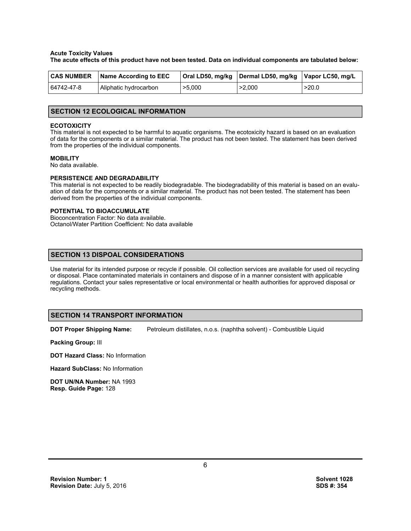#### **Acute Toxicity Values**

**The acute effects of this product have not been tested. Data on individual components are tabulated below:**

| <b>CAS NUMBER</b> | Name According to EEC  |        | Oral LD50, mg/kg   Dermal LD50, mg/kg   Vapor LC50, mg/L |       |
|-------------------|------------------------|--------|----------------------------------------------------------|-------|
| 64742-47-8        | Aliphatic hydrocarbon_ | >5,000 | >2.000                                                   | >20.0 |

#### **SECTION 12 ECOLOGICAL INFORMATION**

#### **ECOTOXICITY**

This material is not expected to be harmful to aquatic organisms. The ecotoxicity hazard is based on an evaluation of data for the components or a similar material. The product has not been tested. The statement has been derived from the properties of the individual components.

#### **MOBILITY**

No data available.

#### **PERSISTENCE AND DEGRADABILITY**

This material is not expected to be readily biodegradable. The biodegradability of this material is based on an evaluation of data for the components or a similar material. The product has not been tested. The statement has been derived from the properties of the individual components.

#### **POTENTIAL TO BIOACCUMULATE**

Bioconcentration Factor: No data available. Octanol/Water Partition Coefficient: No data available

# **SECTION 13 DISPOAL CONSIDERATIONS**

Use material for its intended purpose or recycle if possible. Oil collection services are available for used oil recycling or disposal. Place contaminated materials in containers and dispose of in a manner consistent with applicable regulations. Contact your sales representative or local environmental or health authorities for approved disposal or recycling methods.

#### **SECTION 14 TRANSPORT INFORMATION**

**DOT Proper Shipping Name:** Petroleum distillates, n.o.s. (naphtha solvent) - Combustible Liquid

**Packing Group:** III

**DOT Hazard Class:** No Information

**Hazard SubClass:** No Information

**DOT UN/NA Number:** NA 1993 **Resp. Guide Page:** 128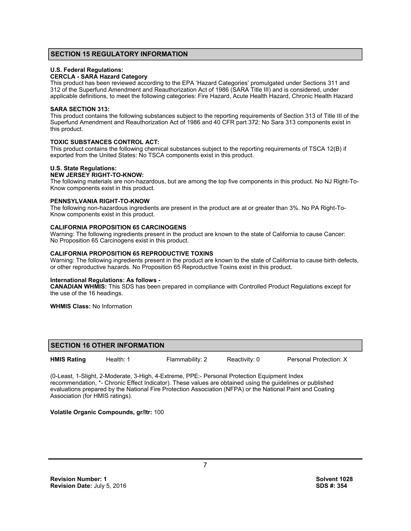# **SECTION 15 REGULATORY INFORMATION**

#### **U.S. Federal Regulations:**

#### **CERCLA - SARA Hazard Category**

This product has been reviewed according to the EPA 'Hazard Categories' promulgated under Sections 311 and 312 of the Superfund Amendment and Reauthorization Act of 1986 (SARA Title III) and is considered, under applicable definitions, to meet the following categories: Fire Hazard, Acute Health Hazard, Chronic Health Hazard

#### **SARA SECTION 313:**

This product contains the following substances subject to the reporting requirements of Section 313 of Title III of the Superfund Amendment and Reauthorization Act of 1986 and 40 CFR part 372: No Sara 313 components exist in this product.

#### **TOXIC SUBSTANCES CONTROL ACT:**

This product contains the following chemical substances subject to the reporting requirements of TSCA 12(B) if exported from the United States: No TSCA components exist in this product.

#### **U.S. State Regulations:**

#### **NEW JERSEY RIGHT-TO-KNOW:**

The following materials are non-hazardous, but are among the top five components in this product. No NJ Right-To-Know components exist in this product.

#### **PENNSYLVANIA RIGHT-TO-KNOW**

The following non-hazardous ingredients are present in the product are at or greater than 3%. No PA Right-To-Know components exist in this product.

#### **CALIFORNIA PROPOSITION 65 CARCINOGENS**

Warning: The following ingredients present in the product are known to the state of California to cause Cancer: No Proposition 65 Carcinogens exist in this product.

#### **CALIFORNIA PROPOSITION 65 REPRODUCTIVE TOXINS**

Warning: The following ingredients present in the product are known to the state of California to cause birth defects, or other reproductive hazards. No Proposition 65 Reproductive Toxins exist in this product.

#### **International Regulations: As follows -**

**CANADIAN WHMIS:** This SDS has been prepared in compliance with Controlled Product Regulations except for the use of the 16 headings.

**WHMIS Class:** No Information

#### **SECTION 16 OTHER INFORMATION**

**HMIS Rating** Health: 1 Flammability: 2 Reactivity: 0 Personal Protection: X

(0-Least, 1-Slight, 2-Moderate, 3-High, 4-Extreme, PPE:- Personal Protection Equipment Index recommendation, \*- Chronic Effect Indicator). These values are obtained using the guidelines or published evaluations prepared by the National Fire Protection Association (NFPA) or the National Paint and Coating Association (for HMIS ratings).

# **Volatile Organic Compounds, gr/ltr:** 100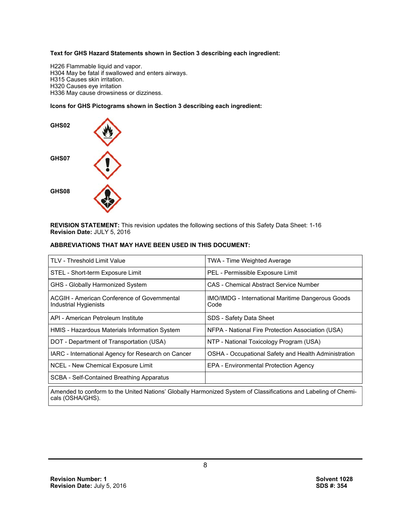#### **Text for GHS Hazard Statements shown in Section 3 describing each ingredient:**

H226 Flammable liquid and vapor. H304 May be fatal if swallowed and enters airways. H315 Causes skin irritation. H320 Causes eye irritation H336 May cause drowsiness or dizziness.

#### **Icons for GHS Pictograms shown in Section 3 describing each ingredient:**



**REVISION STATEMENT:** This revision updates the following sections of this Safety Data Sheet: 1-16 **Revision Date:** JULY 5, 2016

#### **ABBREVIATIONS THAT MAY HAVE BEEN USED IN THIS DOCUMENT:**

| <b>TLV - Threshold Limit Value</b>                                   | <b>TWA - Time Weighted Average</b>                               |
|----------------------------------------------------------------------|------------------------------------------------------------------|
| STEL - Short-term Exposure Limit                                     | PEL - Permissible Exposure Limit                                 |
| GHS - Globally Harmonized System                                     | CAS - Chemical Abstract Service Number                           |
| ACGIH - American Conference of Governmental<br>Industrial Hygienists | <b>IMO/IMDG</b> - International Maritime Dangerous Goods<br>Code |
| API - American Petroleum Institute                                   | SDS - Safety Data Sheet                                          |
| HMIS - Hazardous Materials Information System                        | NFPA - National Fire Protection Association (USA)                |
| DOT - Department of Transportation (USA)                             | NTP - National Toxicology Program (USA)                          |
| IARC - International Agency for Research on Cancer                   | OSHA - Occupational Safety and Health Administration             |
| <b>NCEL - New Chemical Exposure Limit</b>                            | EPA - Environmental Protection Agency                            |
| <b>SCBA</b> - Self-Contained Breathing Apparatus                     |                                                                  |
|                                                                      |                                                                  |

Amended to conform to the United Nations' Globally Harmonized System of Classifications and Labeling of Chemicals (OSHA/GHS).